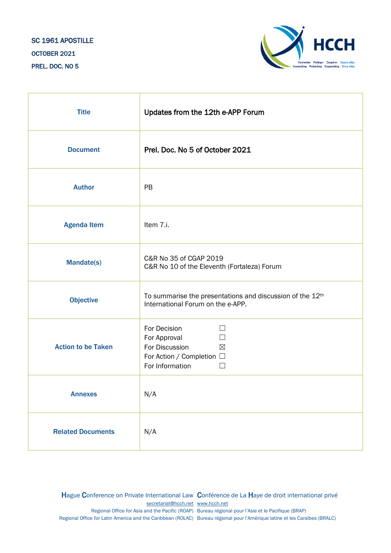# SC 1961 APOSTILLE OCTOBER 2021 PREL. DOC. NO 5



| <b>Title</b>              | Updates from the 12th e-APP Forum                                                                                                                      |
|---------------------------|--------------------------------------------------------------------------------------------------------------------------------------------------------|
| <b>Document</b>           | Prel. Doc. No 5 of October 2021                                                                                                                        |
| <b>Author</b>             | PB                                                                                                                                                     |
| <b>Agenda Item</b>        | Item 7.i.                                                                                                                                              |
| <b>Mandate(s)</b>         | C&R No 35 of CGAP 2019<br>C&R No 10 of the Eleventh (Fortaleza) Forum                                                                                  |
| <b>Objective</b>          | To summarise the presentations and discussion of the 12th<br>International Forum on the e-APP.                                                         |
| <b>Action to be Taken</b> | For Decision<br>$\Box$<br>For Approval<br>$\Box$<br>For Discussion<br>$\boxtimes$<br>For Action / Completion □<br>For Information<br>$\vert \ \ \vert$ |
| <b>Annexes</b>            | N/A                                                                                                                                                    |
| <b>Related Documents</b>  | N/A                                                                                                                                                    |

Hague Conference on Private International Law Conférence de La Haye de droit international privé [secretariat@hcch.net](mailto:secretariat@hcch.net) [www.hcch.net](http://www.hcch.net/) Regional Office for Asia and the Pacific (ROAP) Bureau régional pour l'Asie et le Pacifique (BRAP) Regional Office for Latin America and the Caribbean (ROLAC) Bureau régional pour l'Amérique latine et les Caraïbes (BRALC)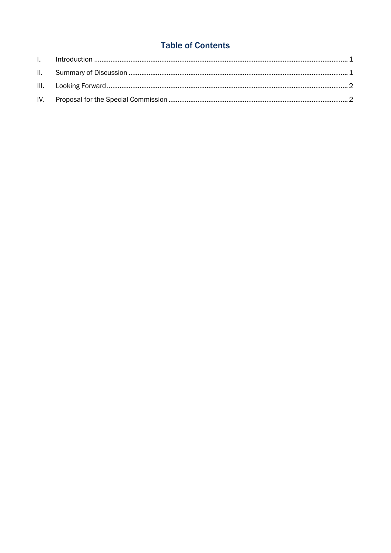# **Table of Contents**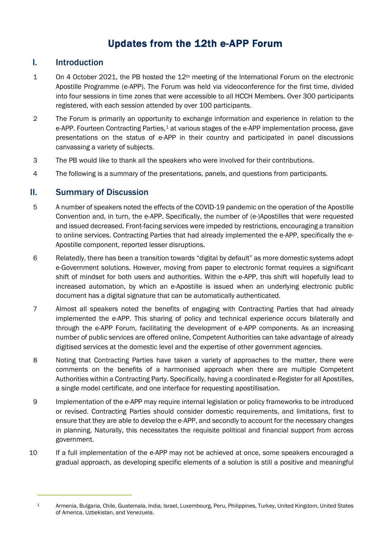# Updates from the 12th e-APP Forum

## I. Introduction

- 1 On 4 October 2021, the PB hosted the  $12<sup>th</sup>$  meeting of the International Forum on the electronic Apostille Programme (e-APP). The Forum was held via videoconference for the first time, divided into four sessions in time zones that were accessible to all HCCH Members. Over 300 participants registered, with each session attended by over 100 participants.
- 2 The Forum is primarily an opportunity to exchange information and experience in relation to the e-APP. Fourteen Contracting Parties,<sup>[1](#page-2-0)</sup> at various stages of the e-APP implementation process, gave presentations on the status of e-APP in their country and participated in panel discussions canvassing a variety of subjects.
- 3 The PB would like to thank all the speakers who were involved for their contributions.
- 4 The following is a summary of the presentations, panels, and questions from participants.

## II. Summary of Discussion

- 5 A number of speakers noted the effects of the COVID-19 pandemic on the operation of the Apostille Convention and, in turn, the e-APP. Specifically, the number of (e-)Apostilles that were requested and issued decreased. Front-facing services were impeded by restrictions, encouraging a transition to online services. Contracting Parties that had already implemented the e-APP, specifically the e-Apostille component, reported lesser disruptions.
- 6 Relatedly, there has been a transition towards "digital by default" as more domestic systems adopt e-Government solutions. However, moving from paper to electronic format requires a significant shift of mindset for both users and authorities. Within the e-APP, this shift will hopefully lead to increased automation, by which an e-Apostille is issued when an underlying electronic public document has a digital signature that can be automatically authenticated.
- 7 Almost all speakers noted the benefits of engaging with Contracting Parties that had already implemented the e-APP. This sharing of policy and technical experience occurs bilaterally and through the e-APP Forum, facilitating the development of e-APP components. As an increasing number of public services are offered online, Competent Authorities can take advantage of already digitised services at the domestic level and the expertise of other government agencies.
- 8 Noting that Contracting Parties have taken a variety of approaches to the matter, there were comments on the benefits of a harmonised approach when there are multiple Competent Authorities within a Contracting Party. Specifically, having a coordinated e-Register for all Apostilles, a single model certificate, and one interface for requesting apostillisation.
- 9 Implementation of the e-APP may require internal legislation or policy frameworks to be introduced or revised. Contracting Parties should consider domestic requirements, and limitations, first to ensure that they are able to develop the e-APP, and secondly to account for the necessary changes in planning. Naturally, this necessitates the requisite political and financial support from across government.
- 10 If a full implementation of the e-APP may not be achieved at once, some speakers encouraged a gradual approach, as developing specific elements of a solution is still a positive and meaningful

<span id="page-2-0"></span><sup>1</sup> Armenia, Bulgaria, Chile, Guatemala, India, Israel, Luxembourg, Peru, Philippines, Turkey, United Kingdom, United States of America, Uzbekistan, and Venezuela.